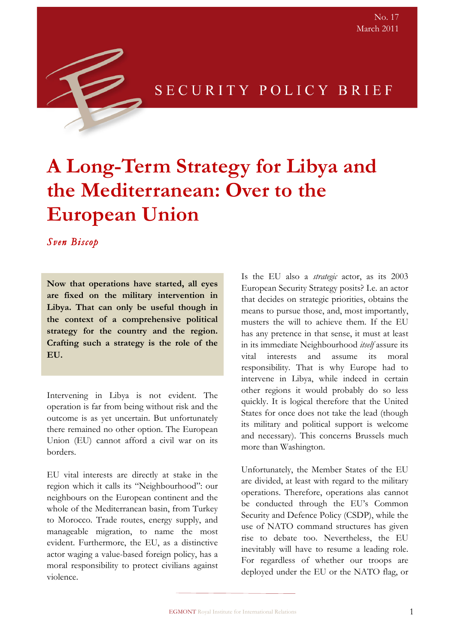

### SECURITY POLICY BRIEF

# **A Long-Term Strategy for Libya and the Mediterranean: Over to the European Union**

*Sven Biscop* 

**Now that operations have started, all eyes are fixed on the military intervention in Libya. That can only be useful though in the context of a comprehensive political strategy for the country and the region. Crafting such a strategy is the role of the EU.**

Intervening in Libya is not evident. The operation is far from being without risk and the outcome is as yet uncertain. But unfortunately there remained no other option. The European Union (EU) cannot afford a civil war on its borders.

EU vital interests are directly at stake in the region which it calls its "Neighbourhood": our neighbours on the European continent and the whole of the Mediterranean basin, from Turkey to Morocco. Trade routes, energy supply, and manageable migration, to name the most evident. Furthermore, the EU, as a distinctive actor waging a value-based foreign policy, has a moral responsibility to protect civilians against violence.

Is the EU also a *strategic* actor, as its 2003 European Security Strategy posits? I.e. an actor that decides on strategic priorities, obtains the means to pursue those, and, most importantly, musters the will to achieve them. If the EU has any pretence in that sense, it must at least in its immediate Neighbourhood *itself* assure its vital interests and assume its moral responsibility. That is why Europe had to intervene in Libya, while indeed in certain other regions it would probably do so less quickly. It is logical therefore that the United States for once does not take the lead (though its military and political support is welcome and necessary). This concerns Brussels much more than Washington.

Unfortunately, the Member States of the EU are divided, at least with regard to the military operations. Therefore, operations alas cannot be conducted through the EU's Common Security and Defence Policy (CSDP), while the use of NATO command structures has given rise to debate too. Nevertheless, the EU inevitably will have to resume a leading role. For regardless of whether our troops are deployed under the EU or the NATO flag, or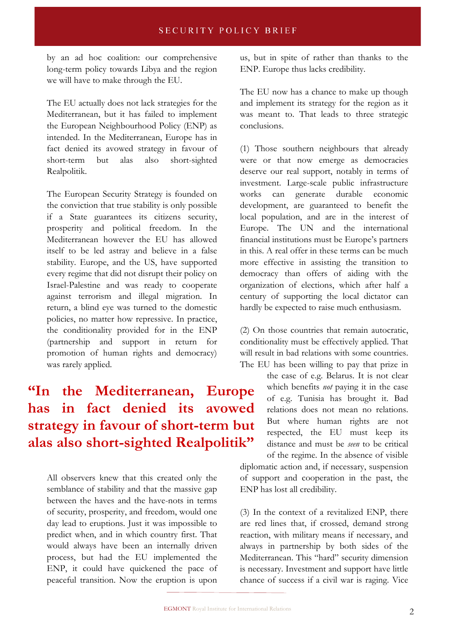#### **SECURITY POLICY BRIEF**

by an ad hoc coalition: our comprehensive long-term policy towards Libya and the region we will have to make through the EU.

The EU actually does not lack strategies for the Mediterranean, but it has failed to implement the European Neighbourhood Policy (ENP) as intended. In the Mediterranean, Europe has in fact denied its avowed strategy in favour of short-term but alas also short-sighted Realpolitik.

The European Security Strategy is founded on the conviction that true stability is only possible if a State guarantees its citizens security, prosperity and political freedom. In the Mediterranean however the EU has allowed itself to be led astray and believe in a false stability. Europe, and the US, have supported every regime that did not disrupt their policy on Israel-Palestine and was ready to cooperate against terrorism and illegal migration. In return, a blind eye was turned to the domestic policies, no matter how repressive. In practice, the conditionality provided for in the ENP (partnership and support in return for promotion of human rights and democracy) was rarely applied.

## **"In the Mediterranean, Europe has in fact denied its avowed strategy in favour of short-term but alas also short-sighted Realpolitik"**

All observers knew that this created only the semblance of stability and that the massive gap between the haves and the have-nots in terms of security, prosperity, and freedom, would one day lead to eruptions. Just it was impossible to predict when, and in which country first. That would always have been an internally driven process, but had the EU implemented the ENP, it could have quickened the pace of peaceful transition. Now the eruption is upon us, but in spite of rather than thanks to the ENP. Europe thus lacks credibility.

The EU now has a chance to make up though and implement its strategy for the region as it was meant to. That leads to three strategic conclusions.

(1) Those southern neighbours that already were or that now emerge as democracies deserve our real support, notably in terms of investment. Large-scale public infrastructure works can generate durable economic development, are guaranteed to benefit the local population, and are in the interest of Europe. The UN and the international financial institutions must be Europe's partners in this. A real offer in these terms can be much more effective in assisting the transition to democracy than offers of aiding with the organization of elections, which after half a century of supporting the local dictator can hardly be expected to raise much enthusiasm.

(2) On those countries that remain autocratic, conditionality must be effectively applied. That will result in bad relations with some countries. The EU has been willing to pay that prize in

> the case of e.g. Belarus. It is not clear which benefits *not* paying it in the case of e.g. Tunisia has brought it. Bad relations does not mean no relations. But where human rights are not respected, the EU must keep its distance and must be *seen* to be critical of the regime. In the absence of visible

diplomatic action and, if necessary, suspension of support and cooperation in the past, the ENP has lost all credibility.

(3) In the context of a revitalized ENP, there are red lines that, if crossed, demand strong reaction, with military means if necessary, and always in partnership by both sides of the Mediterranean. This "hard" security dimension is necessary. Investment and support have little chance of success if a civil war is raging. Vice